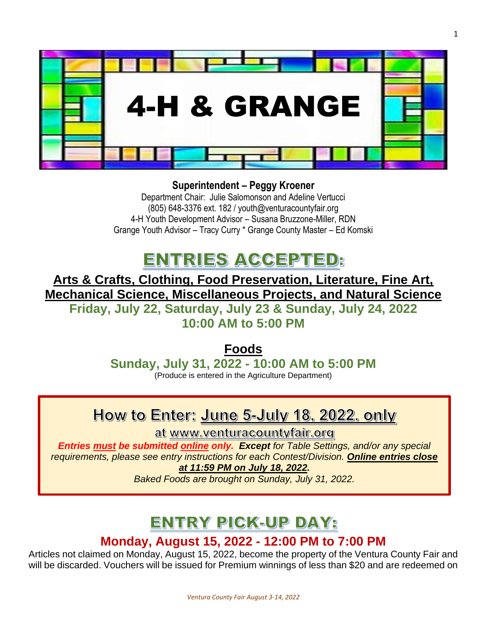

**Superintendent – Peggy Kroener**

Department Chair: Julie Salomonson and Adeline Vertucci (805) 648-3376 ext. 182 / youth@venturacountyfair.org 4-H Youth Development Advisor – Susana Bruzzone-Miller, RDN Grange Youth Advisor – Tracy Curry \* Grange County Master – Ed Komski

## ENTRIES ACCEPTED:

**Arts & Crafts, Clothing, Food Preservation, Literature, Fine Art, Mechanical Science, Miscellaneous Projects, and Natural Science Friday, July 22, Saturday, July 23 & Sunday, July 24, 2022 10:00 AM to 5:00 PM**

> **Foods Sunday, July 31, 2022 - 10:00 AM to 5:00 PM** (Produce is entered in the Agriculture Department)

## How to Enter: June 5-July 18, 2022, only

at www.venturacountyfair.org

*Entries must be submitted online only. Except for Table Settings, and/or any special requirements, please see entry instructions for each Contest/Division. Online entries close at 11:59 PM on July 18, 2022.* 

*Baked Foods are brought on Sunday, July 31, 2022.* 

## **ENTRY PICK-UP DAY:**

### **Monday, August 15, 2022 - 12:00 PM to 7:00 PM**

Articles not claimed on Monday, August 15, 2022, become the property of the Ventura County Fair and will be discarded. Vouchers will be issued for Premium winnings of less than \$20 and are redeemed on

1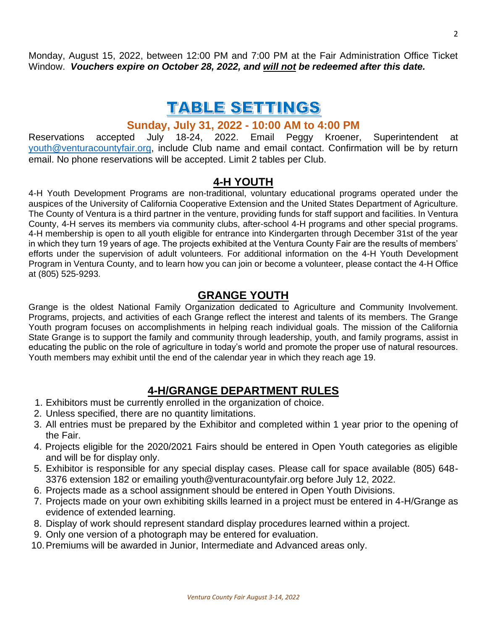Monday, August 15, 2022, between 12:00 PM and 7:00 PM at the Fair Administration Office Ticket Window. *Vouchers expire on October 28, 2022, and will not be redeemed after this date.*

## **TABLE SETTINGS**

### **Sunday, July 31, 2022 - 10:00 AM to 4:00 PM**

Reservations accepted July 18-24, 2022. Email Peggy Kroener, Superintendent at [youth@venturacountyfair.org,](mailto:youth@venturacountyfair.org) include Club name and email contact. Confirmation will be by return email. No phone reservations will be accepted. Limit 2 tables per Club.

### **4-H YOUTH**

4-H Youth Development Programs are non-traditional, voluntary educational programs operated under the auspices of the University of California Cooperative Extension and the United States Department of Agriculture. The County of Ventura is a third partner in the venture, providing funds for staff support and facilities. In Ventura County, 4-H serves its members via community clubs, after-school 4-H programs and other special programs. 4-H membership is open to all youth eligible for entrance into Kindergarten through December 31st of the year in which they turn 19 years of age. The projects exhibited at the Ventura County Fair are the results of members' efforts under the supervision of adult volunteers. For additional information on the 4-H Youth Development Program in Ventura County, and to learn how you can join or become a volunteer, please contact the 4-H Office at (805) 525-9293.

### **GRANGE YOUTH**

Grange is the oldest National Family Organization dedicated to Agriculture and Community Involvement. Programs, projects, and activities of each Grange reflect the interest and talents of its members. The Grange Youth program focuses on accomplishments in helping reach individual goals. The mission of the California State Grange is to support the family and community through leadership, youth, and family programs, assist in educating the public on the role of agriculture in today's world and promote the proper use of natural resources. Youth members may exhibit until the end of the calendar year in which they reach age 19.

### **4-H/GRANGE DEPARTMENT RULES**

- 1. Exhibitors must be currently enrolled in the organization of choice.
- 2. Unless specified, there are no quantity limitations.
- 3. All entries must be prepared by the Exhibitor and completed within 1 year prior to the opening of the Fair.
- 4. Projects eligible for the 2020/2021 Fairs should be entered in Open Youth categories as eligible and will be for display only.
- 5. Exhibitor is responsible for any special display cases. Please call for space available (805) 648- 3376 extension 182 or emailing youth@venturacountyfair.org before July 12, 2022.
- 6. Projects made as a school assignment should be entered in Open Youth Divisions.
- 7. Projects made on your own exhibiting skills learned in a project must be entered in 4-H/Grange as evidence of extended learning.
- 8. Display of work should represent standard display procedures learned within a project.
- 9. Only one version of a photograph may be entered for evaluation.
- 10.Premiums will be awarded in Junior, Intermediate and Advanced areas only.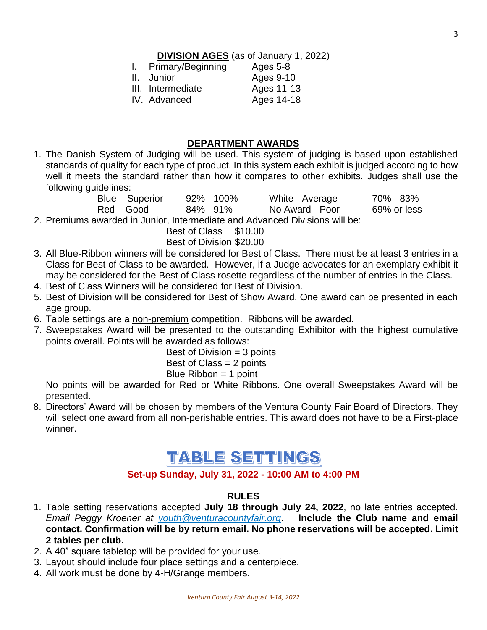**DIVISION AGES** (as of January 1, 2022)

| I. Primary/Beginning | Ages 5-8   |
|----------------------|------------|
| II. Junior           | Ages 9-10  |
| III. Intermediate    | Ages 11-13 |
| IV. Advanced         | Ages 14-18 |

### **DEPARTMENT AWARDS**

1. The Danish System of Judging will be used. This system of judging is based upon established standards of quality for each type of product. In this system each exhibit is judged according to how well it meets the standard rather than how it compares to other exhibits. Judges shall use the following guidelines:

| Blue – Superior                                                             | $92\%$ - 100% | White - Average | 70% - 83%   |  |
|-----------------------------------------------------------------------------|---------------|-----------------|-------------|--|
| Red – Good                                                                  | $84\% - 91\%$ | No Award - Poor | 69% or less |  |
| 2. Premiums awarded in Junior, Intermediate and Advanced Divisions will be: |               |                 |             |  |

Best of Class \$10.00

Best of Division \$20.00

- 3. All Blue-Ribbon winners will be considered for Best of Class. There must be at least 3 entries in a Class for Best of Class to be awarded. However, if a Judge advocates for an exemplary exhibit it may be considered for the Best of Class rosette regardless of the number of entries in the Class.
- 4. Best of Class Winners will be considered for Best of Division.
- 5. Best of Division will be considered for Best of Show Award. One award can be presented in each age group.
- 6. Table settings are a non-premium competition. Ribbons will be awarded.
- 7. Sweepstakes Award will be presented to the outstanding Exhibitor with the highest cumulative points overall. Points will be awarded as follows:

Best of Division  $=$  3 points Best of Class = 2 points Blue  $Ribbon = 1$  point

No points will be awarded for Red or White Ribbons. One overall Sweepstakes Award will be presented.

8. Directors' Award will be chosen by members of the Ventura County Fair Board of Directors. They will select one award from all non-perishable entries. This award does not have to be a First-place winner.

## **TABLE SETTINGS**

### **Set-up Sunday, July 31, 2022 - 10:00 AM to 4:00 PM**

### **RULES**

- 1. Table setting reservations accepted **July 18 through July 24, 2022**, no late entries accepted. *Email Peggy Kroener at [youth@venturacountyfair.org](mailto:youth@venturacountyfair.org)*. **Include the Club name and email contact. Confirmation will be by return email. No phone reservations will be accepted. Limit 2 tables per club.**
- 2. A 40" square tabletop will be provided for your use.
- 3. Layout should include four place settings and a centerpiece.
- 4. All work must be done by 4-H/Grange members.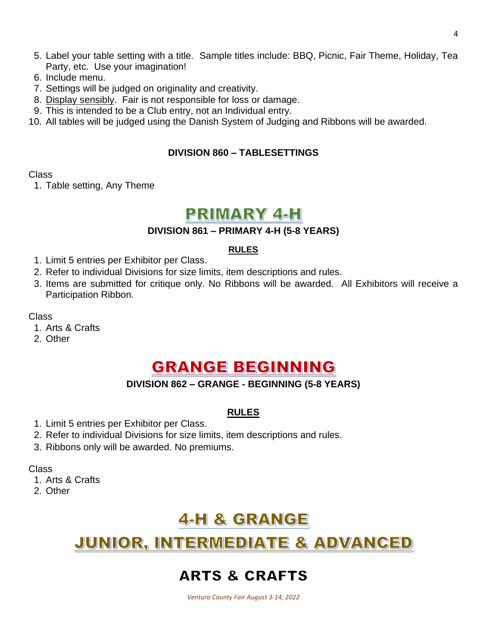- 5. Label your table setting with a title. Sample titles include: BBQ, Picnic, Fair Theme, Holiday, Tea Party, etc. Use your imagination!
- 6. Include menu.
- 7. Settings will be judged on originality and creativity.
- 8. Display sensibly. Fair is not responsible for loss or damage.
- 9. This is intended to be a Club entry, not an Individual entry.
- 10. All tables will be judged using the Danish System of Judging and Ribbons will be awarded.

#### **DIVISION 860 – TABLESETTINGS**

#### Class

1. Table setting, Any Theme

### PRIMARY 4-H

#### **DIVISION 861 – PRIMARY 4-H (5-8 YEARS)**

#### **RULES**

- 1. Limit 5 entries per Exhibitor per Class.
- 2. Refer to individual Divisions for size limits, item descriptions and rules.
- 3. Items are submitted for critique only. No Ribbons will be awarded. All Exhibitors will receive a Participation Ribbon.

#### Class

- 1. Arts & Crafts
- 2. Other

### **GRANGE BEGINNING**

### **DIVISION 862 – GRANGE - BEGINNING (5-8 YEARS)**

### **RULES**

- 1. Limit 5 entries per Exhibitor per Class.
- 2. Refer to individual Divisions for size limits, item descriptions and rules.
- 3. Ribbons only will be awarded. No premiums.

Class

- 1. Arts & Crafts
- 2. Other

## 4-H & GRANGE

## JUNIOR, INTERMEDIATE & ADVANCED

### **ARTS & CRAFTS**

*Ventura County Fair August 3-14, 2022*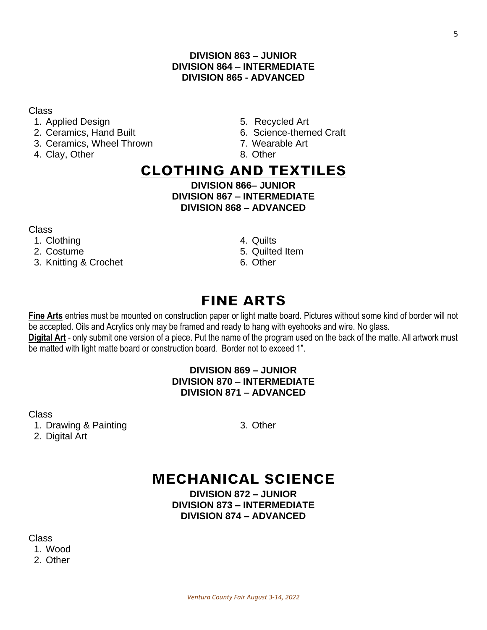### **DIVISION 863 – JUNIOR DIVISION 864 – INTERMEDIATE DIVISION 865 - ADVANCED**

#### Class

- 1. Applied Design 1. Applied Art
- 
- 3. Ceramics, Wheel Thrown 7. Wearable Art
- 4. Clay, Other 8. Other 8. Other
- 
- 2. Ceramics, Hand Built 6. Science-themed Craft
	-
	-

### **CLOTHING AND TEXTILES**

**DIVISION 866– JUNIOR DIVISION 867 – INTERMEDIATE DIVISION 868 – ADVANCED**

Class

- 1. Clothing 4. Quilts
- 
- 3. Knitting & Crochet 6. Other
- 
- 2. Costume 6. Costume 6. Quilted Item
	-

## **FINE ARTS**

**Fine Arts** entries must be mounted on construction paper or light matte board. Pictures without some kind of border will not be accepted. Oils and Acrylics only may be framed and ready to hang with eyehooks and wire. No glass. **Digital Art** - only submit one version of a piece. Put the name of the program used on the back of the matte. All artwork must be matted with light matte board or construction board. Border not to exceed 1".

### **DIVISION 869 – JUNIOR DIVISION 870 – INTERMEDIATE DIVISION 871 – ADVANCED**

Class

1. Drawing & Painting 3. Other 2. Digital Art

## **MECHANICAL SCIENCE**

**DIVISION 872 – JUNIOR DIVISION 873 – INTERMEDIATE DIVISION 874 – ADVANCED**

Class 1. Wood 2. Other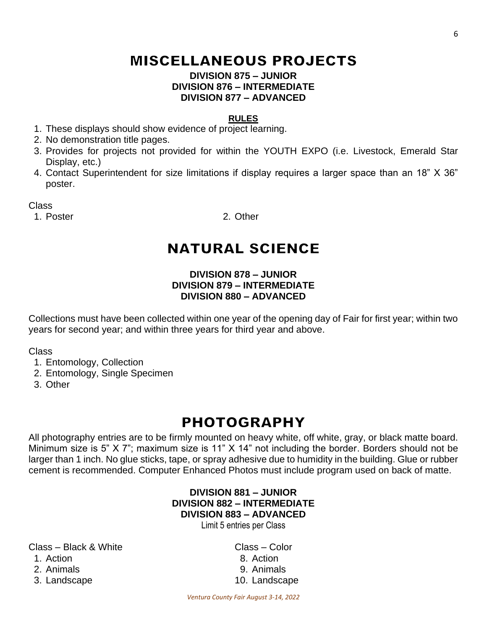## **MISCELLANEOUS PROJECTS**

#### **DIVISION 875 – JUNIOR DIVISION 876 – INTERMEDIATE DIVISION 877 – ADVANCED**

#### **RULES**

- 1. These displays should show evidence of project learning.
- 2. No demonstration title pages.
- 3. Provides for projects not provided for within the YOUTH EXPO (i.e. Livestock, Emerald Star Display, etc.)
- 4. Contact Superintendent for size limitations if display requires a larger space than an 18" X 36" poster.

Class

1. Poster 2. Other

## **NATURAL SCIENCE**

### **DIVISION 878 – JUNIOR DIVISION 879 – INTERMEDIATE DIVISION 880 – ADVANCED**

Collections must have been collected within one year of the opening day of Fair for first year; within two years for second year; and within three years for third year and above.

Class

- 1. Entomology, Collection
- 2. Entomology, Single Specimen
- 3. Other

## **PHOTOGRAPHY**

All photography entries are to be firmly mounted on heavy white, off white, gray, or black matte board. Minimum size is 5" X 7"; maximum size is 11" X 14" not including the border. Borders should not be larger than 1 inch. No glue sticks, tape, or spray adhesive due to humidity in the building. Glue or rubber cement is recommended. Computer Enhanced Photos must include program used on back of matte.

### **DIVISION 881 – JUNIOR DIVISION 882 – INTERMEDIATE DIVISION 883 – ADVANCED**

Limit 5 entries per Class

Class – Black & White Class – Color 1. Action 8. Action 2. Animals 9. Animals

3. Landscape 10. Landscape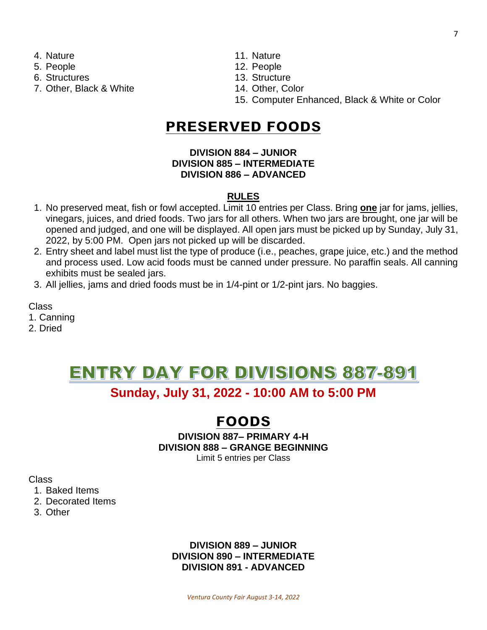- 
- 
- 
- 7. Other, Black & White 14. Other, Color
- 4. Nature 11. Nature
- 5. People 12. People
- 6. Structures 13. Structure
	-
	- 15. Computer Enhanced, Black & White or Color

### **PRESERVED FOODS**

### **DIVISION 884 – JUNIOR DIVISION 885 – INTERMEDIATE DIVISION 886 – ADVANCED**

### **RULES**

- 1. No preserved meat, fish or fowl accepted. Limit 10 entries per Class. Bring **one** jar for jams, jellies, vinegars, juices, and dried foods. Two jars for all others. When two jars are brought, one jar will be opened and judged, and one will be displayed. All open jars must be picked up by Sunday, July 31, 2022, by 5:00 PM. Open jars not picked up will be discarded.
- 2. Entry sheet and label must list the type of produce (i.e., peaches, grape juice, etc.) and the method and process used. Low acid foods must be canned under pressure. No paraffin seals. All canning exhibits must be sealed jars.
- 3. All jellies, jams and dried foods must be in 1/4-pint or 1/2-pint jars. No baggies.

Class

- 1. Canning
- 2. Dried

# ENTRY DAY FOR DIVISIONS 887-891

### **Sunday, July 31, 2022 - 10:00 AM to 5:00 PM**

### **FOODS**

#### **DIVISION 887– PRIMARY 4-H DIVISION 888 – GRANGE BEGINNING** Limit 5 entries per Class

Class

- 1. Baked Items
- 2. Decorated Items
- 3. Other

### **DIVISION 889 – JUNIOR DIVISION 890 – INTERMEDIATE DIVISION 891 - ADVANCED**